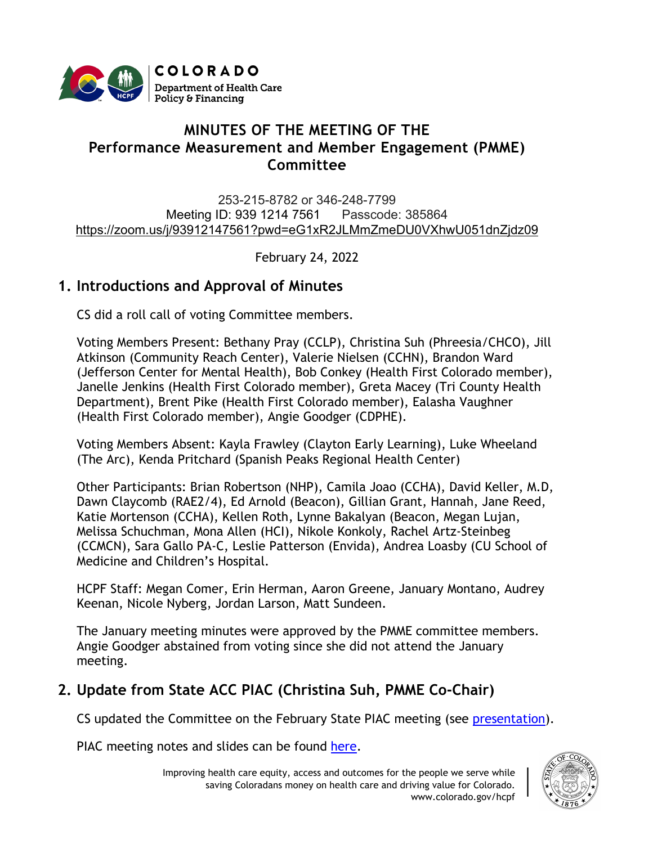

# **MINUTES OF THE MEETING OF THE Performance Measurement and Member Engagement (PMME) Committee**

253-215-8782 or 346-248-7799 Meeting ID: 939 1214 7561 Passcode: 385864 [https://zoom.us/j/93912147561?pwd=eG1xR2JLMmZmeDU0VXhwU051dnZjdz09](https://urldefense.proofpoint.com/v2/url?u=https-3A__www.google.com_url-3Fq-3Dhttps-253A-252F-252Fzoom.us-252Fj-252F93912147561-253Fpwd-253DeG1xR2JLMmZmeDU0VXhwU051dnZjdz09-26sa-3DD-26ust-3D1616530236370000-26usg-3DAOvVaw2pBOHmp3kVX1RmT87UJo0h&d=DwMFaQ&c=sdnEM9SRGFuMt5z5w3AhsPNahmNicq64TgF1JwNR0cs&r=XWoW260UwlojDCSAAnCqRfzrOLFbHxFVx9ZWew2lkos&m=gKyuBSmgRDJ6jxp0dfm5SYf1S_bKcrF8OvgCKwLVieo&s=ts5VsXoiEWnrRji4C9UDtnQYAgBWW4W-PixaYiXvtzw&e=)

February 24, 2022

# **1. Introductions and Approval of Minutes**

CS did a roll call of voting Committee members.

Voting Members Present: Bethany Pray (CCLP), Christina Suh (Phreesia/CHCO), Jill Atkinson (Community Reach Center), Valerie Nielsen (CCHN), Brandon Ward (Jefferson Center for Mental Health), Bob Conkey (Health First Colorado member), Janelle Jenkins (Health First Colorado member), Greta Macey (Tri County Health Department), Brent Pike (Health First Colorado member), Ealasha Vaughner (Health First Colorado member), Angie Goodger (CDPHE).

Voting Members Absent: Kayla Frawley (Clayton Early Learning), Luke Wheeland (The Arc), Kenda Pritchard (Spanish Peaks Regional Health Center)

Other Participants: Brian Robertson (NHP), Camila Joao (CCHA), David Keller, M.D, Dawn Claycomb (RAE2/4), Ed Arnold (Beacon), Gillian Grant, Hannah, Jane Reed, Katie Mortenson (CCHA), Kellen Roth, Lynne Bakalyan (Beacon, Megan Lujan, Melissa Schuchman, Mona Allen (HCI), Nikole Konkoly, Rachel Artz-Steinbeg (CCMCN), Sara Gallo PA-C, Leslie Patterson (Envida), Andrea Loasby (CU School of Medicine and Children's Hospital.

HCPF Staff: Megan Comer, Erin Herman, Aaron Greene, January Montano, Audrey Keenan, Nicole Nyberg, Jordan Larson, Matt Sundeen.

The [January](https://hcpf.colorado.gov/sites/hcpf/files/Performance%20Measurement%20and%20Member%20Engagement%20PIAC%20Sucbommittee%20Draft%20Minutes%20January%202022.pdf) meeting minutes were approved by the PMME committee members. Angie Goodger abstained from voting since she did not attend the January meeting.

# **2. Update from State ACC PIAC (Christina Suh, PMME Co-Chair)**

CS updated the Committee on the February State PIAC meeting (see [presentation\)](https://hcpf.colorado.gov/sites/hcpf/files/Performance%20Measurement%20and%20Member%20Engagement%20PIAC%20Sucbommittee%20Presentation%20February%202022.pdf).

PIAC meeting notes and slides can be found [here.](https://hcpf.colorado.gov/accountable-care-collaborative-program-improvement-advisory-committee)

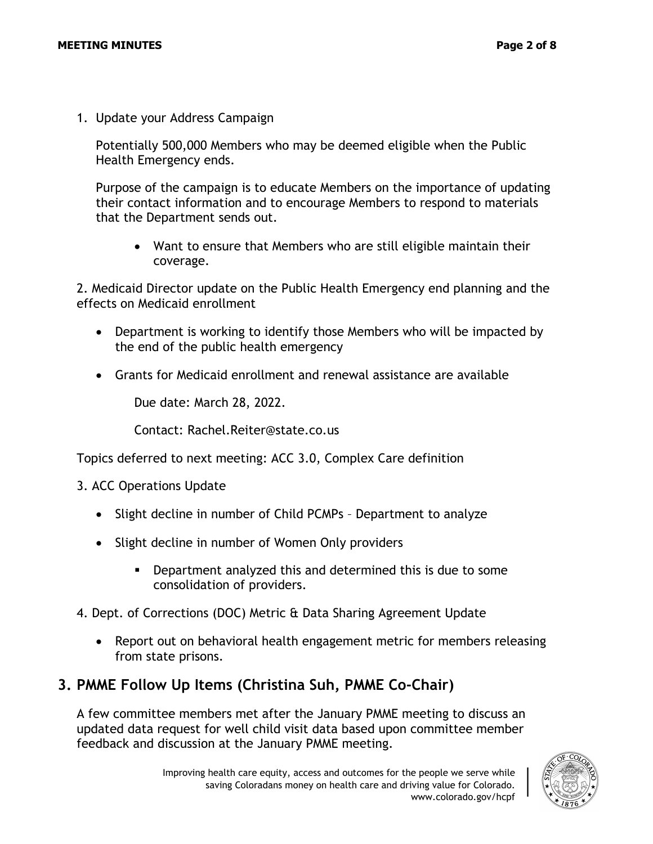1. Update your Address Campaign

Potentially 500,000 Members who may be deemed eligible when the Public Health Emergency ends.

Purpose of the campaign is to educate Members on the importance of updating their contact information and to encourage Members to respond to materials that the Department sends out.

• Want to ensure that Members who are still eligible maintain their coverage.

2. Medicaid Director update on the Public Health Emergency end planning and the effects on Medicaid enrollment

- Department is working to identify those Members who will be impacted by the end of the public health emergency
- Grants for Medicaid enrollment and renewal assistance are available

Due date: March 28, 2022.

Contact: Rachel.Reiter@state.co.us

Topics deferred to next meeting: ACC 3.0, Complex Care definition

- 3. ACC Operations Update
	- Slight decline in number of Child PCMPs Department to analyze
	- Slight decline in number of Women Only providers
		- Department analyzed this and determined this is due to some consolidation of providers.
- 4. Dept. of Corrections (DOC) Metric & Data Sharing Agreement Update
	- Report out on behavioral health engagement metric for members releasing from state prisons.

## **3. PMME Follow Up Items (Christina Suh, PMME Co-Chair)**

A few committee members met after the January PMME meeting to discuss an updated data request for well child visit data based upon committee member feedback and discussion at the January PMME meeting.

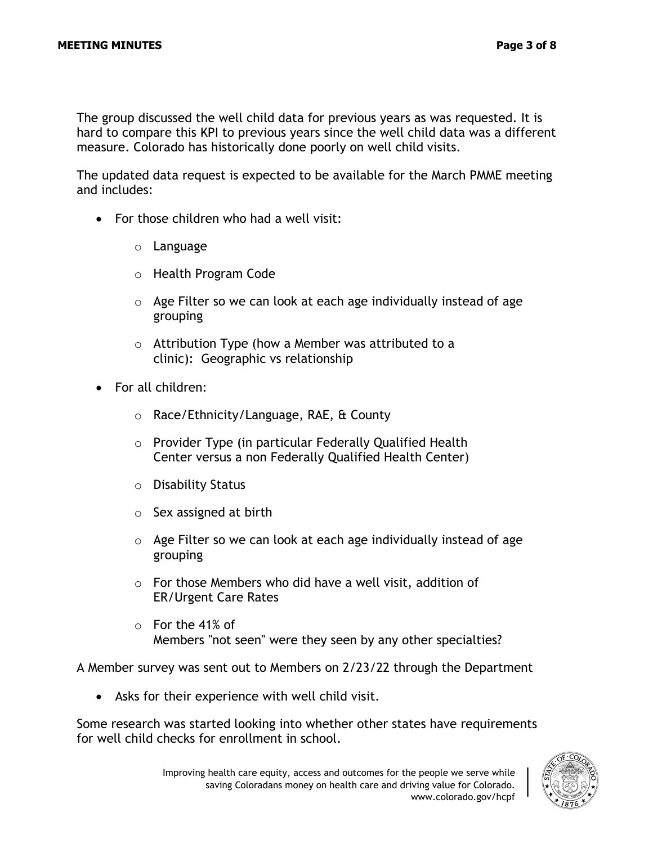The group discussed the well child data for previous years as was requested. It is hard to compare this KPI to previous years since the well child data was a different measure. Colorado has historically done poorly on well child visits.

The updated data request is expected to be available for the March PMME meeting and includes:

- For those children who had a well visit:
	- o Language
	- o Health Program Code
	- $\circ$  Age Filter so we can look at each age individually instead of age grouping
	- o Attribution Type (how a Member was attributed to a clinic): Geographic vs relationship
- For all children:
	- o Race/Ethnicity/Language, RAE, & County
	- o Provider Type (in particular Federally Qualified Health Center versus a non Federally Qualified Health Center)
	- o Disability Status
	- $\circ$  Sex assigned at birth
	- $\circ$  Age Filter so we can look at each age individually instead of age grouping
	- o For those Members who did have a well visit, addition of ER/Urgent Care Rates
	- o For the 41% of Members "not seen" were they seen by any other specialties?

A Member survey was sent out to Members on 2/23/22 through the Department

• Asks for their experience with well child visit.

Some research was started looking into whether other states have requirements for well child checks for enrollment in school.

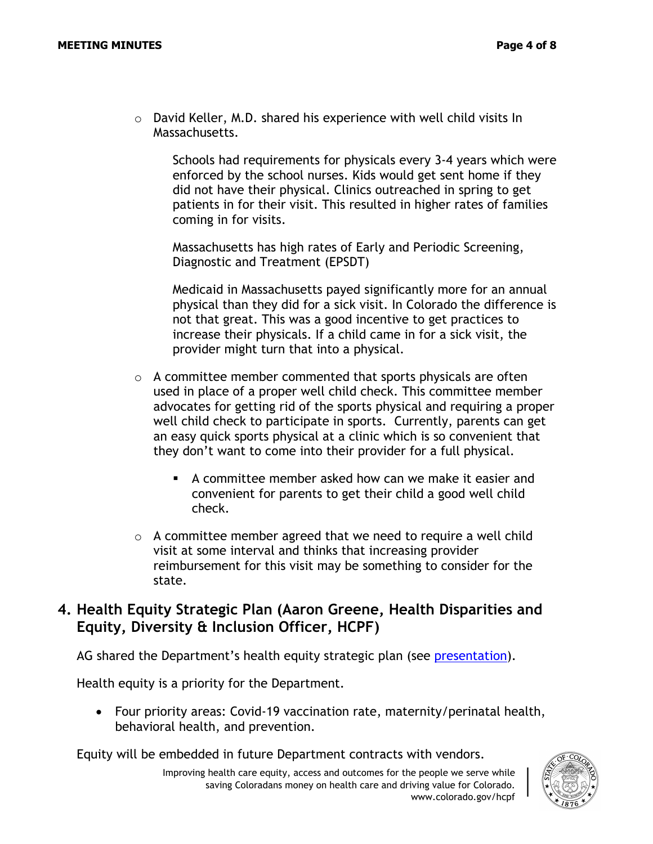o David Keller, M.D. shared his experience with well child visits In Massachusetts.

Schools had requirements for physicals every 3-4 years which were enforced by the school nurses. Kids would get sent home if they did not have their physical. Clinics outreached in spring to get patients in for their visit. This resulted in higher rates of families coming in for visits.

Massachusetts has high rates of Early and Periodic Screening, Diagnostic and Treatment (EPSDT)

Medicaid in Massachusetts payed significantly more for an annual physical than they did for a sick visit. In Colorado the difference is not that great. This was a good incentive to get practices to increase their physicals. If a child came in for a sick visit, the provider might turn that into a physical.

- $\circ$  A committee member commented that sports physicals are often used in place of a proper well child check. This committee member advocates for getting rid of the sports physical and requiring a proper well child check to participate in sports. Currently, parents can get an easy quick sports physical at a clinic which is so convenient that they don't want to come into their provider for a full physical.
	- $\blacksquare$  A committee member asked how can we make it easier and convenient for parents to get their child a good well child check.
- $\circ$  A committee member agreed that we need to require a well child visit at some interval and thinks that increasing provider reimbursement for this visit may be something to consider for the state.

### **4. Health Equity Strategic Plan (Aaron Greene, Health Disparities and Equity, Diversity & Inclusion Officer, HCPF)**

AG shared the Department's health equity strategic plan (see [presentation\)](https://hcpf.colorado.gov/sites/hcpf/files/Performance%20Measurement%20and%20Member%20Engagement%20PIAC%20Sucbommittee%20Health%20Equity%20Strategic%20Plan%20Status%20Update%20Presentation%20February%202022.pdf).

Health equity is a priority for the Department.

• Four priority areas: Covid-19 vaccination rate, maternity/perinatal health, behavioral health, and prevention.

Equity will be embedded in future Department contracts with vendors.

Improving health care equity, access and outcomes for the people we serve while saving Coloradans money on health care and driving value for Colorado. www.colorado.gov/hcpf

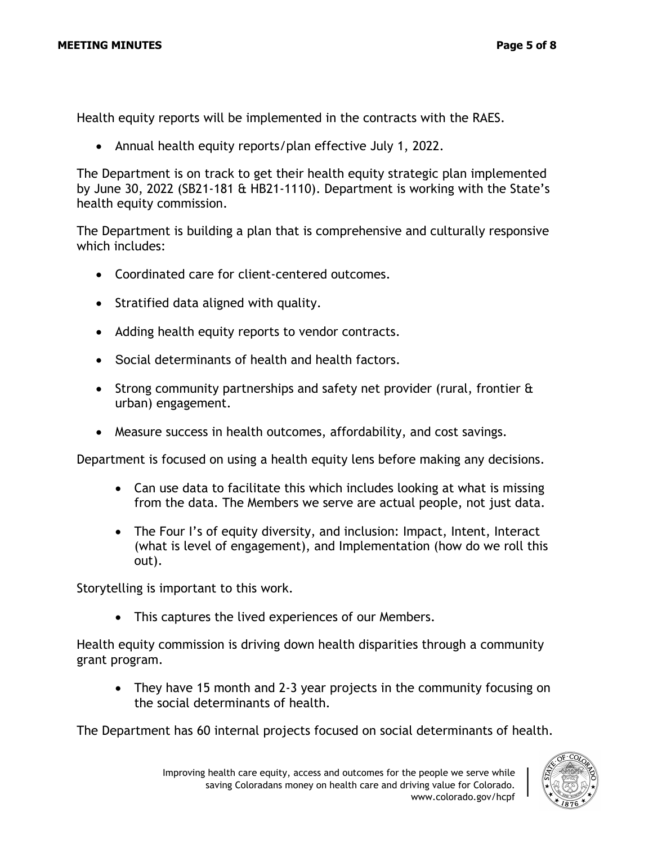Health equity reports will be implemented in the contracts with the RAES.

• Annual health equity reports/plan effective July 1, 2022.

The Department is on track to get their health equity strategic plan implemented by June 30, 2022 (SB21-181 & HB21-1110). Department is working with the State's health equity commission.

The Department is building a plan that is comprehensive and culturally responsive which includes:

- Coordinated care for client-centered outcomes.
- Stratified data aligned with quality.
- Adding health equity reports to vendor contracts.
- Social determinants of health and health factors.
- Strong community partnerships and safety net provider (rural, frontier & urban) engagement.
- Measure success in health outcomes, affordability, and cost savings.

Department is focused on using a health equity lens before making any decisions.

- Can use data to facilitate this which includes looking at what is missing from the data. The Members we serve are actual people, not just data.
- The Four I's of equity diversity, and inclusion: Impact, Intent, Interact (what is level of engagement), and Implementation (how do we roll this out).

Storytelling is important to this work.

• This captures the lived experiences of our Members.

Health equity commission is driving down health disparities through a community grant program.

• They have 15 month and 2-3 year projects in the community focusing on the social determinants of health.

The Department has 60 internal projects focused on social determinants of health.

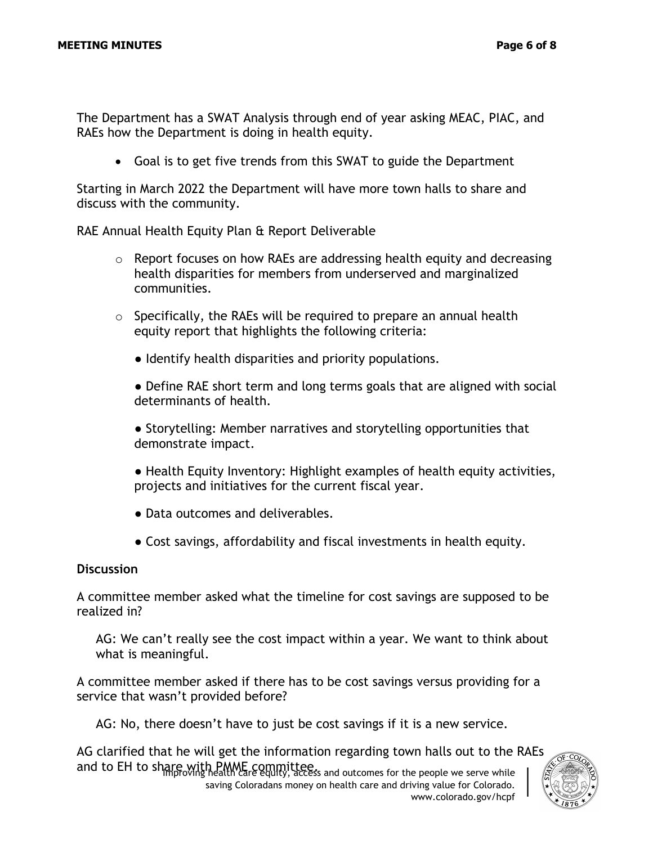The Department has a SWAT Analysis through end of year asking MEAC, PIAC, and RAEs how the Department is doing in health equity.

• Goal is to get five trends from this SWAT to guide the Department

Starting in March 2022 the Department will have more town halls to share and discuss with the community.

RAE Annual Health Equity Plan & Report Deliverable

- $\circ$  Report focuses on how RAEs are addressing health equity and decreasing health disparities for members from underserved and marginalized communities.
- $\circ$  Specifically, the RAEs will be required to prepare an annual health equity report that highlights the following criteria:
	- Identify health disparities and priority populations.
	- Define RAE short term and long terms goals that are aligned with social determinants of health.
	- Storytelling: Member narratives and storytelling opportunities that demonstrate impact.
	- Health Equity Inventory: Highlight examples of health equity activities, projects and initiatives for the current fiscal year.
	- Data outcomes and deliverables.
	- Cost savings, affordability and fiscal investments in health equity.

#### **Discussion**

A committee member asked what the timeline for cost savings are supposed to be realized in?

AG: We can't really see the cost impact within a year. We want to think about what is meaningful.

A committee member asked if there has to be cost savings versus providing for a service that wasn't provided before?

AG: No, there doesn't have to just be cost savings if it is a new service.

and to EH to share with PMME committee.<br>Access and outcomes for the people we serve while AG clarified that he will get the information regarding town halls out to the RAEs

saving Coloradans money on health care and driving value for Colorado. www.colorado.gov/hcpf

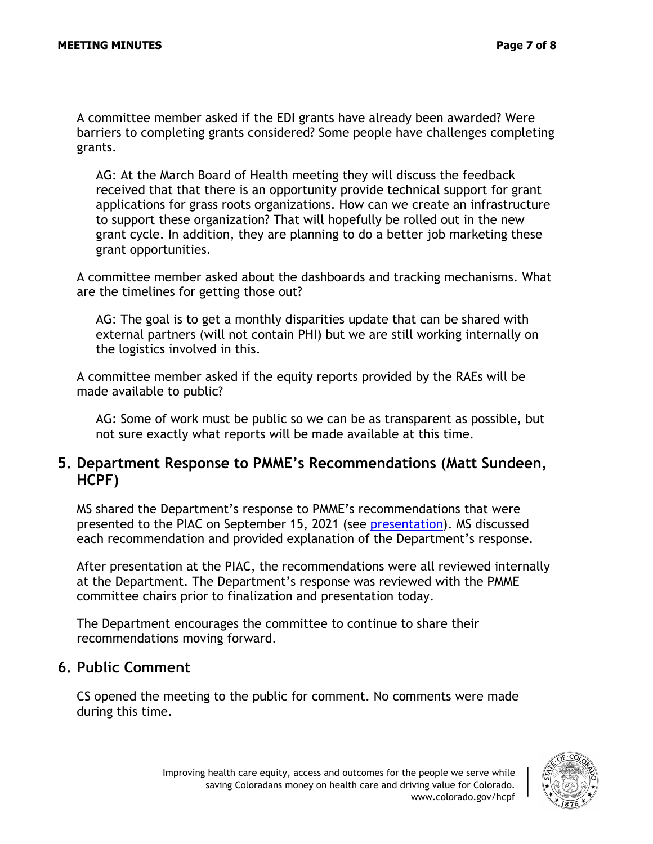A committee member asked if the EDI grants have already been awarded? Were barriers to completing grants considered? Some people have challenges completing grants.

AG: At the March Board of Health meeting they will discuss the feedback received that that there is an opportunity provide technical support for grant applications for grass roots organizations. How can we create an infrastructure to support these organization? That will hopefully be rolled out in the new grant cycle. In addition, they are planning to do a better job marketing these grant opportunities.

A committee member asked about the dashboards and tracking mechanisms. What are the timelines for getting those out?

AG: The goal is to get a monthly disparities update that can be shared with external partners (will not contain PHI) but we are still working internally on the logistics involved in this.

A committee member asked if the equity reports provided by the RAEs will be made available to public?

AG: Some of work must be public so we can be as transparent as possible, but not sure exactly what reports will be made available at this time.

#### **5. Department Response to PMME's Recommendations (Matt Sundeen, HCPF)**

MS shared the Department's response to PMME's recommendations that were presented to the PIAC on September 15, 2021 (see [presentation\)](https://hcpf.colorado.gov/sites/hcpf/files/Performance%20Measurement%20and%20Member%20Engagement%20PIAC%20Sucbommittee%20Presentation%20February%202022.pdf). MS discussed each recommendation and provided explanation of the Department's response.

After presentation at the PIAC, the recommendations were all reviewed internally at the Department. The Department's response was reviewed with the PMME committee chairs prior to finalization and presentation today.

The Department encourages the committee to continue to share their recommendations moving forward.

#### **6. Public Comment**

CS opened the meeting to the public for comment. No comments were made during this time.